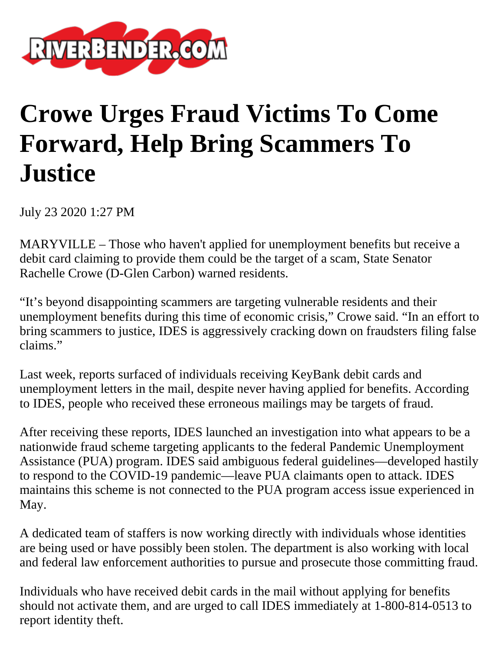

## **Crowe Urges Fraud Victims To Come Forward, Help Bring Scammers To Justice**

July 23 2020 1:27 PM

MARYVILLE – Those who haven't applied for unemployment benefits but receive a debit card claiming to provide them could be the target of a scam, State Senator Rachelle Crowe (D-Glen Carbon) warned residents.

"It's beyond disappointing scammers are targeting vulnerable residents and their unemployment benefits during this time of economic crisis," Crowe said. "In an effort to bring scammers to justice, IDES is aggressively cracking down on fraudsters filing false claims."

Last week, reports surfaced of individuals receiving KeyBank debit cards and unemployment letters in the mail, despite never having applied for benefits. According to IDES, people who received these erroneous mailings may be targets of fraud.

After receiving these reports, IDES launched an investigation into what appears to be a nationwide fraud scheme targeting applicants to the federal Pandemic Unemployment Assistance (PUA) program. IDES said ambiguous federal guidelines—developed hastily to respond to the COVID-19 pandemic—leave PUA claimants open to attack. IDES maintains this scheme is not connected to the PUA program access issue experienced in May.

A dedicated team of staffers is now working directly with individuals whose identities are being used or have possibly been stolen. The department is also working with local and federal law enforcement authorities to pursue and prosecute those committing fraud.

Individuals who have received debit cards in the mail without applying for benefits should not activate them, and are urged to call IDES immediately at 1-800-814-0513 to report identity theft.